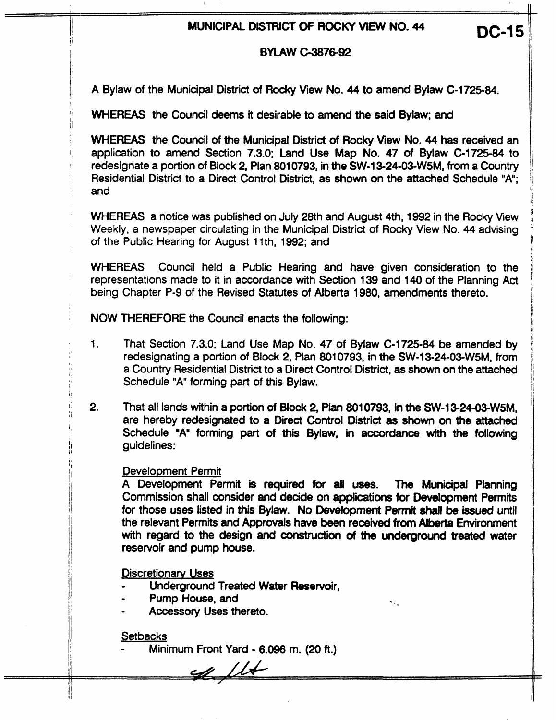**MUNICIPAL DISTRICT OF ROCKY VIEW NO. 44 DC-15** 

## **BYLAW** *-7692*

A Bylaw of the Municipal District of Rocky View No. 44 to amend Bylaw **C-172584.** 

WHEREAS the Council deems it desirable to amend the said Bylaw; and

**WHEREAS** the Council of the Municipal District of **Rocky** View No. 44 has received an application to amend Section 7.3.0; Land Use Map No. 47 of Bylaw C-1725-84 to redesignate a portion of Block 2, Plan **801 0793,** in the **SW-13-24-03-WSM,** from a Country Residential District to a Direct Control District, as shown on the attached Schedule "A"; and

WHEREAS a notice was published on July 28th and August 4th, **1992** in the Rocky View Weekly, a newspaper circulating in the Municipal District of Rocky View No. 44 advising of the Public Hearing for August 11th, 1992; and

WHEREAS Council held a Public Hearing and have given consideration to the representations made to it in accordance with Section 139 and 140 of the Planning Act being Chapter P-9 of the Revised Statutes of Alberta **1980,** amendments thereto.

NOW THEREFORE the Council enacts the following:

- **1.** That Section **7.3.0;** Land Use Map No. 47 of Bylaw **C-1725-84** be amended by redesignating a portion of Block 2, Plan 801 0793, in the **SW-13-24-03-W5M,** from a Country Residential District to a Direct Control District, as shown on the attached Schedule **"A"** forming part of this **Bylaw.**
- **2.** That all lands within a portion of Block 2, Plan **8010793, in the SW-13-2403-W5M,**  are hereby redesignated to **a** Direct Control District **as** shown on the attached Schedule "A" forming part of this Bylaw, in accordance with the following guidelines:

#### Development Permit

A Development Permit is required for **dl** uses. The **Municipal** Planning Commission shall consider and decide on applications for **Development** Permhs for those uses listed in **this** Bylaw. No Devebpment **Pennit haft** be issued until the relevant Permits and Approvals have been received from Alberta Environment with regard to the design and **construction of the** underground *treated* water reservoir and pump house.

Discretionary Uses

- Underground Treated Water Reservoir,
- Pump House, and
- Accessory Uses thereto.

#### **Setbacks**

- Minimum Front Yard - *6.096* m. *(20* ft.)

 $44$ 

,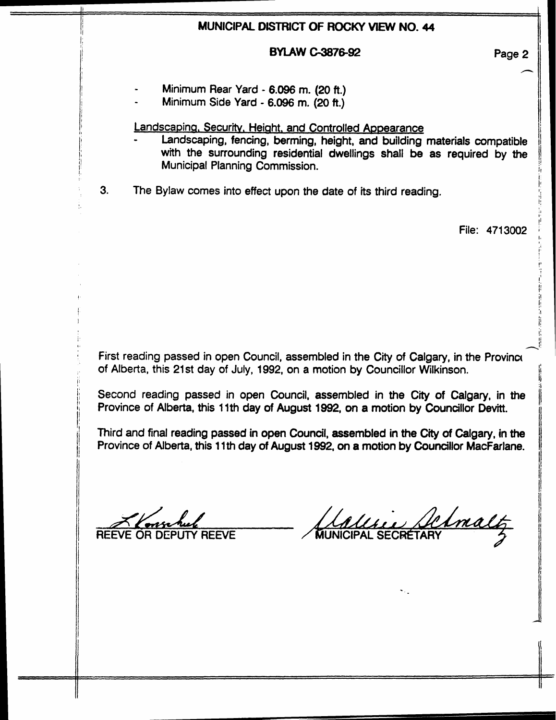# **MUNICIPAL OSTRICT OF** ROCKY **MEW NO. 44**

### **BYLAW** *c487&92*

**Page 2** 

11

**I' I** !!

I' **!I 4** 

- = Minimum Rear Yard - *6.096* m. (20 ft.)
- Minimum Side Yard - *6.096* **m.** *(20* **ft.)**

**Landscapina.** Securitv, Heiaht, and Controlled **Ameatance** 

- Landscaping, fencing, berming, height, and building materials compatible with the surrounding residential dwellings shall be as required by the **Municipal Planning Commission.**
- **3.** The Bylaw comes into effect upon the date of its third reading.

**File: 4713002** 

**first** reading passed in open Council, assembled in the **Crty** of Calgary, in the Provina of Alberta, this **21st day** of **July, 1992,** on a motion by Councillor Wilkinson.

Second reading passed in open Council, assembled in **the Clty** *of* **Calgary,** in the Province of Alberta, this 1 lth day **of August 1992,** *on* a motion by Councillor **Devitt.** 

Third and final reading passed in open Council, assembled in the City of Calgary, in **the**  Province of Alberta, this 1 lth day of August **1992,** *on* a motion **by Councillor** MacFarlane.

**REEVE OR DEPL** 

Imalty AALLARRALLAR